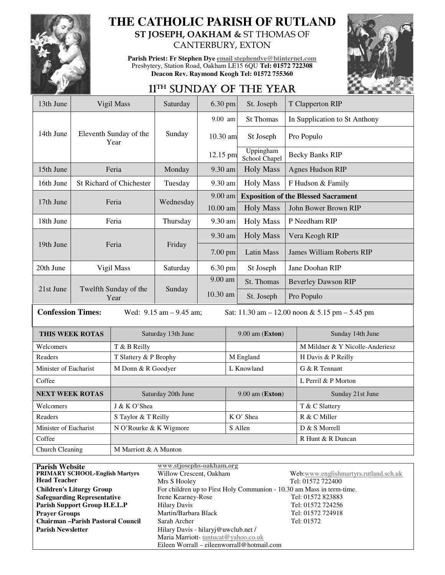

## **THE CATHOLIC PARISH OF RUTLAND ST JOSEPH, OAKHAM &** ST THOMAS OF

CANTERBURY, EXTON

**Parish Priest: Fr Stephen Dye email stephendye@btinternet.com** Presbytery, Station Road, Oakham LE15 6QU **Tel: 01572 722308 Deacon Rev. Raymond Keogh Tel: 01572 755360** 



# 11<sup>TH</sup> SUNDAY OF THE YEAR

| 13th June                                                                                                       |                               | Vigil Mass                      | Saturday           | 6.30 pm             |            | St. Joseph                                 |                                  | T Clapperton RIP                |  |
|-----------------------------------------------------------------------------------------------------------------|-------------------------------|---------------------------------|--------------------|---------------------|------------|--------------------------------------------|----------------------------------|---------------------------------|--|
|                                                                                                                 |                               | Eleventh Sunday of the<br>Year  | Sunday             | 9.00 am             |            | <b>St Thomas</b>                           |                                  | In Supplication to St Anthony   |  |
| 14th June                                                                                                       |                               |                                 |                    | $10.30$ am          |            | St Joseph                                  |                                  | Pro Populo                      |  |
|                                                                                                                 |                               |                                 |                    | 12.15 pm            |            | Uppingham<br>School Chapel                 |                                  | <b>Becky Banks RIP</b>          |  |
| 15th June                                                                                                       |                               | Feria                           | Monday             | 9.30 am             |            | <b>Holy Mass</b>                           |                                  | <b>Agnes Hudson RIP</b>         |  |
| 16th June                                                                                                       |                               | <b>St Richard of Chichester</b> | Tuesday            | 9.30 am             |            | <b>Holy Mass</b>                           | F Hudson & Family                |                                 |  |
| 17th June                                                                                                       |                               |                                 | Wednesday          | 9.00 am             |            | <b>Exposition of the Blessed Sacrament</b> |                                  |                                 |  |
|                                                                                                                 |                               | Feria                           |                    | 10.00 am            |            | <b>Holy Mass</b>                           |                                  | John Bower Brown RIP            |  |
| 18th June                                                                                                       | Feria                         |                                 | Thursday           | 9.30 am             |            | <b>Holy Mass</b>                           |                                  | P Needham RIP                   |  |
|                                                                                                                 | Feria                         |                                 | Friday             | 9.30 am             |            | <b>Holy Mass</b>                           | Vera Keogh RIP                   |                                 |  |
| 19th June                                                                                                       |                               |                                 |                    | 7.00 pm             |            | <b>Latin Mass</b>                          | <b>James William Roberts RIP</b> |                                 |  |
| 20th June                                                                                                       | Vigil Mass                    |                                 | Saturday           | $6.30 \text{ pm}$   |            | St Joseph                                  | Jane Doohan RIP                  |                                 |  |
|                                                                                                                 | Twelfth Sunday of the<br>Year |                                 | Sunday             | 9.00 am<br>10.30 am |            | St. Thomas                                 |                                  | <b>Beverley Dawson RIP</b>      |  |
| 21st June                                                                                                       |                               |                                 |                    |                     |            | St. Joseph                                 |                                  | Pro Populo                      |  |
| <b>Confession Times:</b><br>Wed: $9.15$ am $- 9.45$ am;<br>Sat: $11.30$ am $- 12.00$ noon & 5.15 pm $- 5.45$ pm |                               |                                 |                    |                     |            |                                            |                                  |                                 |  |
| THIS WEEK ROTAS                                                                                                 |                               |                                 | Saturday 13th June |                     |            | $9.00$ am (Exton)                          |                                  | Sunday 14th June                |  |
| Welcomers                                                                                                       |                               | T & B Reilly                    |                    |                     |            |                                            |                                  | M Mildner & Y Nicolle-Anderiesz |  |
| Readers                                                                                                         |                               | T Slattery & P Brophy           |                    |                     | M England  |                                            |                                  | H Davis & P Reilly              |  |
| Minister of Eucharist                                                                                           |                               | M Donn & R Goodyer              |                    |                     | L Knowland |                                            |                                  | G & R Tennant                   |  |

| <b>Parish Website</b>                   | www.stjosephs-oakham.org                                              |                                       |  |  |  |
|-----------------------------------------|-----------------------------------------------------------------------|---------------------------------------|--|--|--|
| <b>PRIMARY SCHOOL-English Martyrs</b>   | Willow Crescent, Oakham                                               | Web:www.englishmartyrs.rutland.sch.uk |  |  |  |
| <b>Head Teacher</b>                     | Mrs S Hooley                                                          | Tel: 01572 722400                     |  |  |  |
| <b>Children's Liturgy Group</b>         | For children up to First Holy Communion - 10.30 am Mass in term-time. |                                       |  |  |  |
| <b>Safeguarding Representative</b>      | Irene Kearney-Rose                                                    | Tel: 01572 823883                     |  |  |  |
| Parish Support Group H.E.L.P            | <b>Hilary Davis</b>                                                   | Tel: 01572 724256                     |  |  |  |
| <b>Prayer Groups</b>                    | Martin/Barbara Black                                                  | Tel: 01572 724918                     |  |  |  |
| <b>Chairman-Parish Pastoral Council</b> | Sarah Archer                                                          | Tel: 01572                            |  |  |  |
| <b>Parish Newsletter</b>                | Hilary Davis - hilaryj@uwclub.net /                                   |                                       |  |  |  |
|                                         | Maria Marriott-tantucat@yahoo.co.uk                                   |                                       |  |  |  |
|                                         | Eileen Worrall – eileenworrall@hotmail.com                            |                                       |  |  |  |

Coffee **Letter Letter and Letter Letter and Letter and Letter and Letter and Letter and Letter and Letter and Letter and Letter and Letter and Letter and Letter and Letter and Letter and Letter and Letter and Letter and Le** 

Welcomers J J & K O'Shea T & C Slattery Readers S Taylor & T Reilly K O' Shea R & C Miller Minister of Eucharist N O'Rourke & K Wigmore S Allen S Allen S & S Morrell **Coffee R Hunt & R Duncan** 

Church Cleaning M Marriott & A Munton

**NEXT WEEK ROTAS** Saturday 20th June 9.00 am (**Exton**) Sunday 21st June